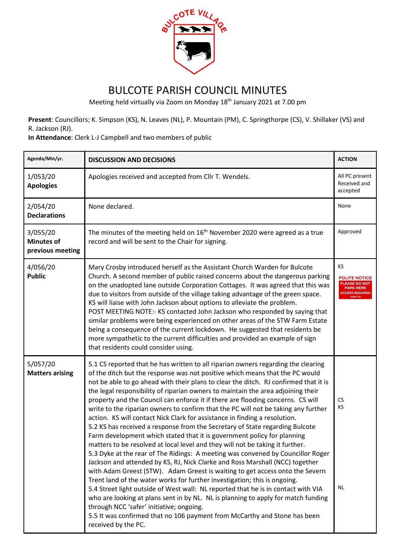

## BULCOTE PARISH COUNCIL MINUTES

Meeting held virtually via Zoom on Monday 18th January 2021 at 7.00 pm

**Present**: Councillors; K. Simpson (KS), N. Leaves (NL), P. Mountain (PM), C. Springthorpe (CS), V. Shillaker (VS) and R. Jackson (RJ).

**In Attendance**: Clerk L-J Campbell and two members of public

| Agenda/Min/yr.                                    | <b>DISCUSSION AND DECISIONS</b>                                                                                                                                                                                                                                                                                                                                                                                                                                                                                                                                                                                                                                                                                                                                                                                                                                                                                                                                                                                                                                                                                                                                                                                                                                                                                                                                                                                                                                                                            | <b>ACTION</b>                                                                                          |
|---------------------------------------------------|------------------------------------------------------------------------------------------------------------------------------------------------------------------------------------------------------------------------------------------------------------------------------------------------------------------------------------------------------------------------------------------------------------------------------------------------------------------------------------------------------------------------------------------------------------------------------------------------------------------------------------------------------------------------------------------------------------------------------------------------------------------------------------------------------------------------------------------------------------------------------------------------------------------------------------------------------------------------------------------------------------------------------------------------------------------------------------------------------------------------------------------------------------------------------------------------------------------------------------------------------------------------------------------------------------------------------------------------------------------------------------------------------------------------------------------------------------------------------------------------------------|--------------------------------------------------------------------------------------------------------|
| 1/053/20<br><b>Apologies</b>                      | Apologies received and accepted from Cllr T. Wendels.                                                                                                                                                                                                                                                                                                                                                                                                                                                                                                                                                                                                                                                                                                                                                                                                                                                                                                                                                                                                                                                                                                                                                                                                                                                                                                                                                                                                                                                      | All PC present<br>Received and<br>accepted                                                             |
| 2/054/20<br><b>Declarations</b>                   | None declared.                                                                                                                                                                                                                                                                                                                                                                                                                                                                                                                                                                                                                                                                                                                                                                                                                                                                                                                                                                                                                                                                                                                                                                                                                                                                                                                                                                                                                                                                                             | None                                                                                                   |
| 3/055/20<br><b>Minutes of</b><br>previous meeting | The minutes of the meeting held on $16th$ November 2020 were agreed as a true<br>record and will be sent to the Chair for signing.                                                                                                                                                                                                                                                                                                                                                                                                                                                                                                                                                                                                                                                                                                                                                                                                                                                                                                                                                                                                                                                                                                                                                                                                                                                                                                                                                                         | Approved                                                                                               |
| 4/056/20<br><b>Public</b>                         | Mary Crosby introduced herself as the Assistant Church Warden for Bulcote<br>Church. A second member of public raised concerns about the dangerous parking<br>on the unadopted lane outside Corporation Cottages. It was agreed that this was<br>due to visitors from outside of the village taking advantage of the green space.<br>KS will liaise with John Jackson about options to alleviate the problem.<br>POST MEETING NOTE:- KS contacted John Jackson who responded by saying that<br>similar problems were being experienced on other areas of the STW Farm Estate<br>being a consequence of the current lockdown. He suggested that residents be<br>more sympathetic to the current difficulties and provided an example of sign<br>that residents could consider using.                                                                                                                                                                                                                                                                                                                                                                                                                                                                                                                                                                                                                                                                                                                        | <b>KS</b><br><b>POLITE NOTICE</b><br><b>PLEASE DO NOT</b><br><b>PARK HERE</b><br><b>CCESS REQUIRED</b> |
| 5/057/20<br><b>Matters arising</b>                | 5.1 CS reported that he has written to all riparian owners regarding the clearing<br>of the ditch but the response was not positive which means that the PC would<br>not be able to go ahead with their plans to clear the ditch. RJ confirmed that it is<br>the legal responsibility of riparian owners to maintain the area adjoining their<br>property and the Council can enforce it if there are flooding concerns. CS will<br>write to the riparian owners to confirm that the PC will not be taking any further<br>action. KS will contact Nick Clark for assistance in finding a resolution.<br>5.2 KS has received a response from the Secretary of State regarding Bulcote<br>Farm development which stated that it is government policy for planning<br>matters to be resolved at local level and they will not be taking it further.<br>5.3 Dyke at the rear of The Ridings: A meeting was convened by Councillor Roger<br>Jackson and attended by KS, RJ, Nick Clarke and Ross Marshall (NCC) together<br>with Adam Greest (STW). Adam Greest is waiting to get access onto the Severn<br>Trent land of the water works for further investigation; this is ongoing.<br>5.4 Street light outside of West wall: NL reported that he is in contact with VIA<br>who are looking at plans sent in by NL. NL is planning to apply for match funding<br>through NCC 'safer' initiative; ongoing.<br>5.5 It was confirmed that no 106 payment from McCarthy and Stone has been<br>received by the PC. | CS<br>KS<br>NL                                                                                         |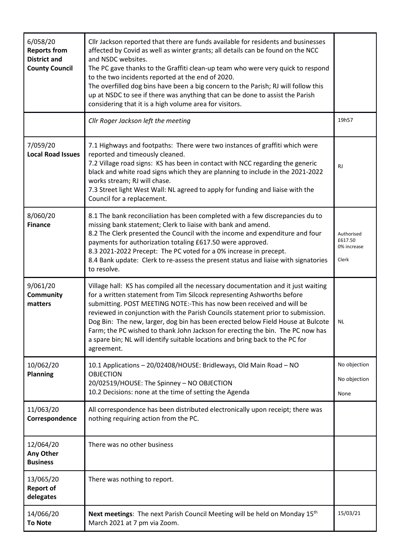| 6/058/20<br><b>Reports from</b><br><b>District and</b><br><b>County Council</b> | Cllr Jackson reported that there are funds available for residents and businesses<br>affected by Covid as well as winter grants; all details can be found on the NCC<br>and NSDC websites.<br>The PC gave thanks to the Graffiti clean-up team who were very quick to respond<br>to the two incidents reported at the end of 2020.<br>The overfilled dog bins have been a big concern to the Parish; RJ will follow this<br>up at NSDC to see if there was anything that can be done to assist the Parish<br>considering that it is a high volume area for visitors.                        |                                               |
|---------------------------------------------------------------------------------|---------------------------------------------------------------------------------------------------------------------------------------------------------------------------------------------------------------------------------------------------------------------------------------------------------------------------------------------------------------------------------------------------------------------------------------------------------------------------------------------------------------------------------------------------------------------------------------------|-----------------------------------------------|
|                                                                                 | Cllr Roger Jackson left the meeting                                                                                                                                                                                                                                                                                                                                                                                                                                                                                                                                                         | 19h57                                         |
| 7/059/20<br><b>Local Road Issues</b>                                            | 7.1 Highways and footpaths: There were two instances of graffiti which were<br>reported and timeously cleaned.<br>7.2 Village road signs: KS has been in contact with NCC regarding the generic<br>black and white road signs which they are planning to include in the 2021-2022<br>works stream; RJ will chase.<br>7.3 Street light West Wall: NL agreed to apply for funding and liaise with the<br>Council for a replacement.                                                                                                                                                           | <b>RJ</b>                                     |
| 8/060/20<br><b>Finance</b>                                                      | 8.1 The bank reconciliation has been completed with a few discrepancies du to<br>missing bank statement; Clerk to liaise with bank and amend.<br>8.2 The Clerk presented the Council with the income and expenditure and four<br>payments for authorization totaling £617.50 were approved.<br>8.3 2021-2022 Precept: The PC voted for a 0% increase in precept.<br>8.4 Bank update: Clerk to re-assess the present status and liaise with signatories<br>to resolve.                                                                                                                       | Authorised<br>£617.50<br>0% increase<br>Clerk |
| 9/061/20<br><b>Community</b><br>matters                                         | Village hall: KS has compiled all the necessary documentation and it just waiting<br>for a written statement from Tim Silcock representing Ashworths before<br>submitting. POST MEETING NOTE:-This has now been received and will be<br>reviewed in conjunction with the Parish Councils statement prior to submission.<br>Dog Bin: The new, larger, dog bin has been erected below Field House at Bulcote<br>Farm; the PC wished to thank John Jackson for erecting the bin. The PC now has<br>a spare bin; NL will identify suitable locations and bring back to the PC for<br>agreement. | <b>NL</b>                                     |
| 10/062/20<br><b>Planning</b>                                                    | 10.1 Applications - 20/02408/HOUSE: Bridleways, Old Main Road - NO<br><b>OBJECTION</b><br>20/02519/HOUSE: The Spinney - NO OBJECTION<br>10.2 Decisions: none at the time of setting the Agenda                                                                                                                                                                                                                                                                                                                                                                                              | No objection<br>No objection<br>None          |
| 11/063/20<br>Correspondence                                                     | All correspondence has been distributed electronically upon receipt; there was<br>nothing requiring action from the PC.                                                                                                                                                                                                                                                                                                                                                                                                                                                                     |                                               |
| 12/064/20<br>Any Other<br><b>Business</b>                                       | There was no other business                                                                                                                                                                                                                                                                                                                                                                                                                                                                                                                                                                 |                                               |
| 13/065/20<br><b>Report of</b><br>delegates                                      | There was nothing to report.                                                                                                                                                                                                                                                                                                                                                                                                                                                                                                                                                                |                                               |
| 14/066/20<br><b>To Note</b>                                                     | Next meetings: The next Parish Council Meeting will be held on Monday 15 <sup>th</sup><br>March 2021 at 7 pm via Zoom.                                                                                                                                                                                                                                                                                                                                                                                                                                                                      | 15/03/21                                      |